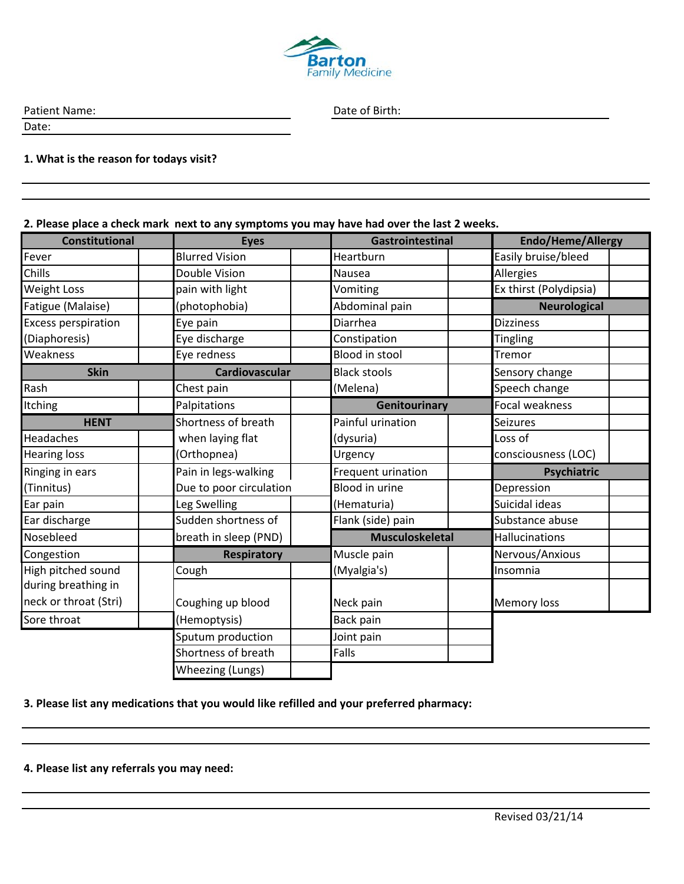

Patient Name: Date of Birth:

Date:

## **1. What is the reason for todays visit?**

## **2. Please place a check mark next to any symptoms you may have had over the last 2 weeks.**

| <b>Constitutional</b>      | <b>Eyes</b>             | Gastrointestinal       | Endo/Heme/Allergy      |  |  |  |  |
|----------------------------|-------------------------|------------------------|------------------------|--|--|--|--|
| Fever                      | <b>Blurred Vision</b>   | Heartburn              | Easily bruise/bleed    |  |  |  |  |
| Chills                     | Double Vision           | Nausea                 | Allergies              |  |  |  |  |
| <b>Weight Loss</b>         | pain with light         | Vomiting               | Ex thirst (Polydipsia) |  |  |  |  |
| Fatigue (Malaise)          | (photophobia)           | Abdominal pain         | <b>Neurological</b>    |  |  |  |  |
| <b>Excess perspiration</b> | Eye pain                | Diarrhea               | <b>Dizziness</b>       |  |  |  |  |
| (Diaphoresis)              | Eye discharge           | Constipation           | Tingling               |  |  |  |  |
| Weakness                   | Eye redness             | <b>Blood in stool</b>  | Tremor                 |  |  |  |  |
| <b>Skin</b>                | <b>Cardiovascular</b>   | <b>Black stools</b>    | Sensory change         |  |  |  |  |
| Rash                       | Chest pain              | (Melena)               | Speech change          |  |  |  |  |
| <b>Itching</b>             | Palpitations            | Genitourinary          | <b>Focal weakness</b>  |  |  |  |  |
| <b>HENT</b>                | Shortness of breath     | Painful urination      | <b>Seizures</b>        |  |  |  |  |
| Headaches                  | when laying flat        | (dysuria)              | Loss of                |  |  |  |  |
| <b>Hearing loss</b>        | (Orthopnea)             | Urgency                | consciousness (LOC)    |  |  |  |  |
| Ringing in ears            | Pain in legs-walking    | Frequent urination     | Psychiatric            |  |  |  |  |
| (Tinnitus)                 | Due to poor circulation | <b>Blood in urine</b>  | Depression             |  |  |  |  |
| Ear pain                   | Leg Swelling            | (Hematuria)            | Suicidal ideas         |  |  |  |  |
| Ear discharge              | Sudden shortness of     | Flank (side) pain      | Substance abuse        |  |  |  |  |
| Nosebleed                  | breath in sleep (PND)   | <b>Musculoskeletal</b> | <b>Hallucinations</b>  |  |  |  |  |
| Congestion                 | <b>Respiratory</b>      | Muscle pain            | Nervous/Anxious        |  |  |  |  |
| High pitched sound         | Cough                   | (Myalgia's)            | Insomnia               |  |  |  |  |
| during breathing in        |                         |                        |                        |  |  |  |  |
| neck or throat (Stri)      | Coughing up blood       | Neck pain              | <b>Memory loss</b>     |  |  |  |  |
| Sore throat                | (Hemoptysis)            | Back pain              |                        |  |  |  |  |
|                            | Sputum production       | Joint pain             |                        |  |  |  |  |
|                            | Shortness of breath     | Falls                  |                        |  |  |  |  |
|                            | Wheezing (Lungs)        |                        |                        |  |  |  |  |

**3. Please list any medications that you would like refilled and your preferred pharmacy:**

**4. Please list any referrals you may need:**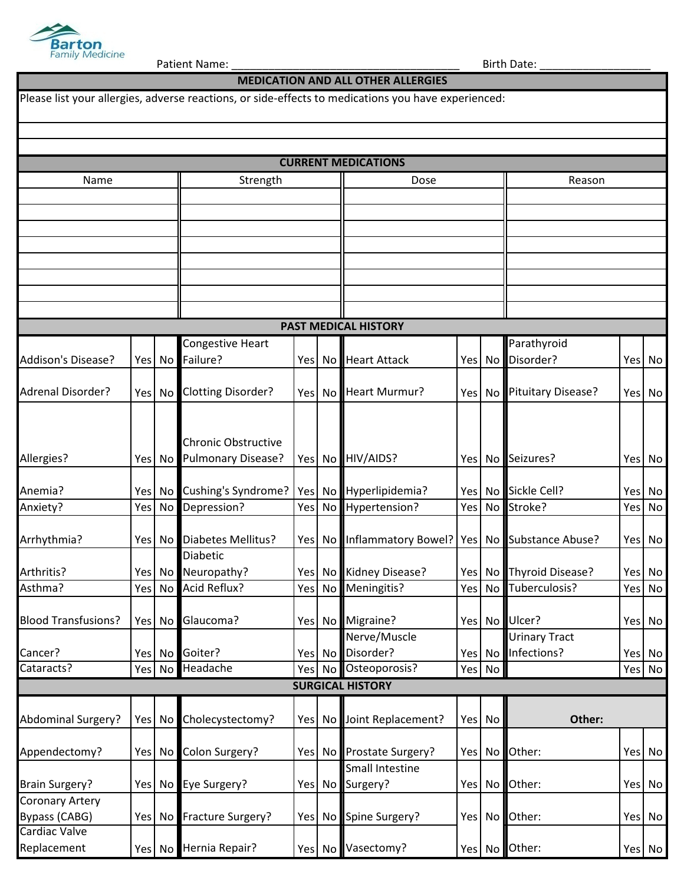

Patient Name: \_\_\_\_\_\_\_\_\_\_\_\_\_\_\_\_\_\_\_\_\_\_\_\_\_\_\_\_\_\_\_\_\_\_\_\_\_ Birth Date: \_\_\_\_\_\_\_\_\_\_\_\_\_\_\_\_\_\_

|                              |            |                 |                                               |     |                 | <b>MEDICATION AND ALL OTHER ALLERGIES</b>                                                           |     |        |                                                 |  |                  |  |  |
|------------------------------|------------|-----------------|-----------------------------------------------|-----|-----------------|-----------------------------------------------------------------------------------------------------|-----|--------|-------------------------------------------------|--|------------------|--|--|
|                              |            |                 |                                               |     |                 | Please list your allergies, adverse reactions, or side-effects to medications you have experienced: |     |        |                                                 |  |                  |  |  |
|                              |            |                 |                                               |     |                 |                                                                                                     |     |        |                                                 |  |                  |  |  |
|                              |            |                 |                                               |     |                 | <b>CURRENT MEDICATIONS</b>                                                                          |     |        |                                                 |  |                  |  |  |
| Name                         |            |                 | Strength                                      |     |                 | Dose                                                                                                |     |        | Reason                                          |  |                  |  |  |
|                              |            |                 |                                               |     |                 |                                                                                                     |     |        |                                                 |  |                  |  |  |
|                              |            |                 |                                               |     |                 |                                                                                                     |     |        |                                                 |  |                  |  |  |
|                              |            |                 |                                               |     |                 |                                                                                                     |     |        |                                                 |  |                  |  |  |
|                              |            |                 |                                               |     |                 |                                                                                                     |     |        |                                                 |  |                  |  |  |
|                              |            |                 |                                               |     |                 |                                                                                                     |     |        |                                                 |  |                  |  |  |
|                              |            |                 |                                               |     |                 |                                                                                                     |     |        |                                                 |  |                  |  |  |
|                              |            |                 |                                               |     |                 |                                                                                                     |     |        |                                                 |  |                  |  |  |
|                              |            |                 |                                               |     |                 | <b>PAST MEDICAL HISTORY</b>                                                                         |     |        |                                                 |  |                  |  |  |
|                              |            |                 | Congestive Heart                              |     |                 |                                                                                                     |     |        | Parathyroid                                     |  |                  |  |  |
| Addison's Disease?           |            |                 | Yes   No Failure?                             |     | Yes No          | <b>Heart Attack</b>                                                                                 |     | Yes No | Disorder?                                       |  | Yes No           |  |  |
| <b>Adrenal Disorder?</b>     | Yes        | No I            | <b>Clotting Disorder?</b>                     |     | Yes No          | Heart Murmur?                                                                                       | Yes | No     | Pituitary Disease?                              |  | Yes No           |  |  |
|                              |            |                 |                                               |     |                 |                                                                                                     |     |        |                                                 |  |                  |  |  |
|                              |            |                 |                                               |     |                 |                                                                                                     |     |        |                                                 |  |                  |  |  |
|                              |            |                 | <b>Chronic Obstructive</b>                    |     |                 |                                                                                                     |     |        |                                                 |  |                  |  |  |
| Allergies?                   | <b>Yes</b> |                 | No Pulmonary Disease?                         |     |                 | Yes No HIV/AIDS?                                                                                    |     |        | Yes No Seizures?                                |  | Yes No           |  |  |
| Anemia?                      | Yes        | No I            | Cushing's Syndrome?                           |     | Yes No          | Hyperlipidemia?                                                                                     |     |        | Yes No Sickle Cell?                             |  | Yes No           |  |  |
| Anxiety?                     | Yes        | No <sub>l</sub> | Depression?                                   | Yes | No <sub>1</sub> | Hypertension?                                                                                       | Yes | No     | Stroke?                                         |  | Yes No           |  |  |
|                              |            |                 |                                               |     |                 |                                                                                                     |     |        |                                                 |  |                  |  |  |
| Arrhythmia?                  |            |                 | Yes   No Diabetes Mellitus?                   |     | Yes No          | Inflammatory Bowel?   Yes   No Substance Abuse?                                                     |     |        |                                                 |  | Yes No           |  |  |
|                              |            |                 | <b>Diabetic</b>                               |     |                 |                                                                                                     |     |        |                                                 |  |                  |  |  |
| Arthritis?<br>Asthma?        |            |                 | Yes   No   Neuropathy?<br>Yes No Acid Reflux? |     | Yes No          | Yes   No Kidney Disease?<br>Meningitis?                                                             |     |        | Yes No Thyroid Disease?<br>Yes No Tuberculosis? |  | Yes No<br>Yes No |  |  |
|                              |            |                 |                                               |     |                 |                                                                                                     |     |        |                                                 |  |                  |  |  |
| <b>Blood Transfusions?</b>   |            |                 | Yes No Glaucoma?                              |     |                 | Yes No Migraine?                                                                                    |     |        | Yes No Ulcer?                                   |  | Yes No           |  |  |
|                              |            |                 |                                               |     |                 | Nerve/Muscle                                                                                        |     |        | <b>Urinary Tract</b>                            |  |                  |  |  |
| Cancer?                      |            |                 | Yes No Goiter?                                |     |                 | Yes No Disorder?                                                                                    |     |        | Yes No Infections?                              |  | Yes No           |  |  |
| Cataracts?                   |            |                 | Yes No Headache                               |     | Yes No          | Osteoporosis?                                                                                       |     | Yes No |                                                 |  | Yes No           |  |  |
|                              |            |                 |                                               |     |                 | <b>SURGICAL HISTORY</b>                                                                             |     |        |                                                 |  |                  |  |  |
|                              |            |                 |                                               |     |                 |                                                                                                     |     |        |                                                 |  |                  |  |  |
| <b>Abdominal Surgery?</b>    |            |                 | Yes   No Cholecystectomy?                     |     |                 | Yes   No Joint Replacement?                                                                         |     | Yes No | Other:                                          |  |                  |  |  |
| Appendectomy?                |            |                 | Yes   No Colon Surgery?                       |     |                 | Yes   No Prostate Surgery?                                                                          | Yes | No     | Other:                                          |  | Yes No           |  |  |
|                              |            |                 |                                               |     |                 | Small Intestine                                                                                     |     |        |                                                 |  |                  |  |  |
| <b>Brain Surgery?</b>        |            |                 | Yes   No Eye Surgery?                         |     |                 | Yes No Surgery?                                                                                     |     | Yes No | Other:                                          |  | Yes No           |  |  |
| <b>Coronary Artery</b>       |            |                 |                                               |     |                 |                                                                                                     |     |        |                                                 |  |                  |  |  |
| Bypass (CABG)                |            |                 | Yes   No Fracture Surgery?                    |     |                 | Yes   No Spine Surgery?                                                                             |     | Yes No | Other:                                          |  | Yes No           |  |  |
| Cardiac Valve<br>Replacement |            |                 | Yes No Hernia Repair?                         |     |                 | Yes No Vasectomy?                                                                                   |     |        | Yes No Other:                                   |  |                  |  |  |
|                              |            |                 |                                               |     |                 |                                                                                                     |     |        |                                                 |  | Yes No           |  |  |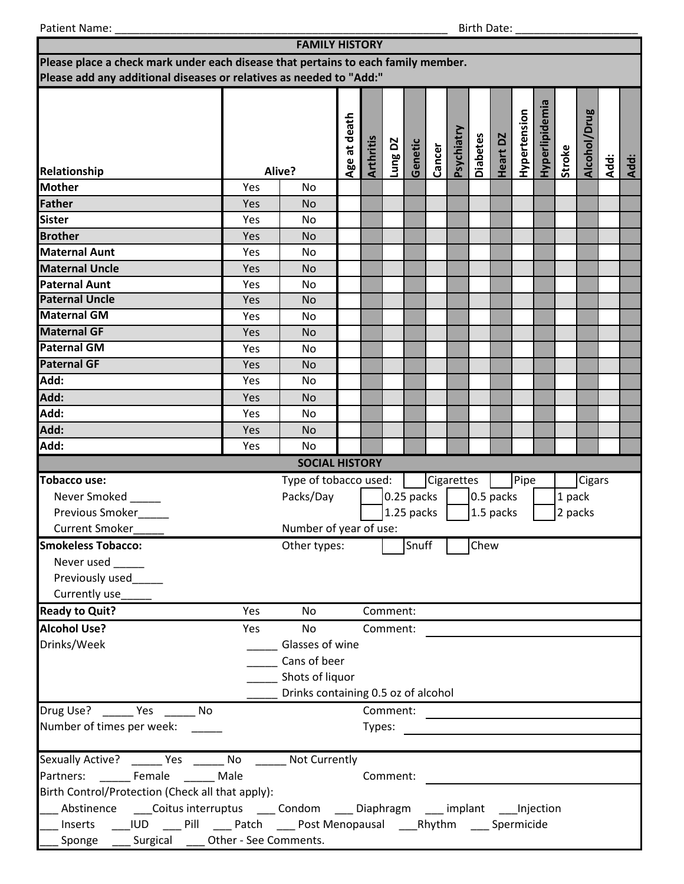Patient Name: \_\_\_\_\_\_\_\_\_\_\_\_\_\_\_\_\_\_\_\_\_\_\_\_\_\_\_\_\_\_\_\_\_\_\_\_\_\_\_\_\_\_\_\_\_\_\_\_\_\_\_\_\_\_ Birth Date: \_\_\_\_\_\_\_\_\_\_\_\_\_\_\_\_\_\_\_\_

| <b>FAMILY HISTORY</b>                                                                         |                                                   |                                     |              |                  |          |            |        |            |                 |           |              |                |         |              |      |      |
|-----------------------------------------------------------------------------------------------|---------------------------------------------------|-------------------------------------|--------------|------------------|----------|------------|--------|------------|-----------------|-----------|--------------|----------------|---------|--------------|------|------|
| Please place a check mark under each disease that pertains to each family member.             |                                                   |                                     |              |                  |          |            |        |            |                 |           |              |                |         |              |      |      |
| Please add any additional diseases or relatives as needed to "Add:"                           |                                                   |                                     |              |                  |          |            |        |            |                 |           |              |                |         |              |      |      |
| Relationship                                                                                  |                                                   | Alive?                              | Age at death | <b>Arthritis</b> | Lung DZ  | Genetic    | Cancer | Psychiatry | <b>Diabetes</b> | Heart DZ  | Hypertension | Hyperlipidemia | Stroke  | Alcohol/Drug | Add: | Add: |
| <b>Mother</b>                                                                                 | Yes                                               | No                                  |              |                  |          |            |        |            |                 |           |              |                |         |              |      |      |
| Father                                                                                        | Yes                                               | <b>No</b>                           |              |                  |          |            |        |            |                 |           |              |                |         |              |      |      |
| <b>Sister</b>                                                                                 | Yes                                               | No                                  |              |                  |          |            |        |            |                 |           |              |                |         |              |      |      |
| <b>Brother</b>                                                                                | Yes                                               | <b>No</b>                           |              |                  |          |            |        |            |                 |           |              |                |         |              |      |      |
| <b>Maternal Aunt</b>                                                                          | Yes                                               | No                                  |              |                  |          |            |        |            |                 |           |              |                |         |              |      |      |
| <b>Maternal Uncle</b>                                                                         | Yes                                               | <b>No</b>                           |              |                  |          |            |        |            |                 |           |              |                |         |              |      |      |
| <b>Paternal Aunt</b>                                                                          | Yes                                               | No                                  |              |                  |          |            |        |            |                 |           |              |                |         |              |      |      |
| <b>Paternal Uncle</b>                                                                         | Yes                                               | <b>No</b>                           |              |                  |          |            |        |            |                 |           |              |                |         |              |      |      |
| <b>Maternal GM</b>                                                                            | Yes                                               | N <sub>o</sub>                      |              |                  |          |            |        |            |                 |           |              |                |         |              |      |      |
| <b>Maternal GF</b>                                                                            | Yes                                               | <b>No</b>                           |              |                  |          |            |        |            |                 |           |              |                |         |              |      |      |
| <b>Paternal GM</b>                                                                            | Yes                                               | No                                  |              |                  |          |            |        |            |                 |           |              |                |         |              |      |      |
| <b>Paternal GF</b>                                                                            | Yes                                               | <b>No</b>                           |              |                  |          |            |        |            |                 |           |              |                |         |              |      |      |
| Add:                                                                                          | Yes                                               | No                                  |              |                  |          |            |        |            |                 |           |              |                |         |              |      |      |
| Add:                                                                                          | Yes                                               | <b>No</b>                           |              |                  |          |            |        |            |                 |           |              |                |         |              |      |      |
| Add:                                                                                          | Yes                                               | No                                  |              |                  |          |            |        |            |                 |           |              |                |         |              |      |      |
| Add:                                                                                          | Yes                                               | <b>No</b>                           |              |                  |          |            |        |            |                 |           |              |                |         |              |      |      |
| Add:                                                                                          | Yes                                               | No                                  |              |                  |          |            |        |            |                 |           |              |                |         |              |      |      |
|                                                                                               |                                                   | <b>SOCIAL HISTORY</b>               |              |                  |          |            |        |            |                 |           |              |                |         |              |      |      |
| <b>Tobacco use:</b>                                                                           |                                                   | Type of tobacco used:               |              |                  |          |            |        | Cigarettes |                 |           | Pipe         |                |         | Cigars       |      |      |
| Never Smoked                                                                                  |                                                   | Packs/Day                           |              |                  |          | 0.25 packs |        |            |                 | 0.5 packs |              |                | 1 pack  |              |      |      |
| Previous Smoker                                                                               |                                                   |                                     |              |                  |          | 1.25 packs |        |            |                 | 1.5 packs |              |                | 2 packs |              |      |      |
| <b>Current Smoker</b>                                                                         |                                                   | Number of year of use:              |              |                  |          |            |        |            |                 |           |              |                |         |              |      |      |
| <b>Smokeless Tobacco:</b>                                                                     |                                                   | Other types:                        |              |                  |          | Snuff      |        |            | Chew            |           |              |                |         |              |      |      |
| Never used                                                                                    |                                                   |                                     |              |                  |          |            |        |            |                 |           |              |                |         |              |      |      |
| Previously used                                                                               |                                                   |                                     |              |                  |          |            |        |            |                 |           |              |                |         |              |      |      |
| Currently use                                                                                 |                                                   |                                     |              |                  |          |            |        |            |                 |           |              |                |         |              |      |      |
| <b>Ready to Quit?</b>                                                                         | Yes                                               | No                                  |              |                  | Comment: |            |        |            |                 |           |              |                |         |              |      |      |
| <b>Alcohol Use?</b>                                                                           | Yes                                               | <b>No</b>                           |              |                  | Comment: |            |        |            |                 |           |              |                |         |              |      |      |
| Drinks/Week                                                                                   |                                                   | Glasses of wine                     |              |                  |          |            |        |            |                 |           |              |                |         |              |      |      |
|                                                                                               |                                                   | Cans of beer                        |              |                  |          |            |        |            |                 |           |              |                |         |              |      |      |
|                                                                                               |                                                   | Shots of liquor                     |              |                  |          |            |        |            |                 |           |              |                |         |              |      |      |
|                                                                                               |                                                   | Drinks containing 0.5 oz of alcohol |              |                  |          |            |        |            |                 |           |              |                |         |              |      |      |
| Drug Use? No Yes No                                                                           |                                                   |                                     |              |                  | Comment: |            |        |            |                 |           |              |                |         |              |      |      |
| Number of times per week:                                                                     |                                                   |                                     |              | Types:           |          |            |        |            |                 |           |              |                |         |              |      |      |
|                                                                                               |                                                   |                                     |              |                  |          |            |        |            |                 |           |              |                |         |              |      |      |
| Sexually Active? _______ Yes _______ No _______ Not Currently                                 |                                                   |                                     |              |                  |          |            |        |            |                 |           |              |                |         |              |      |      |
| Partners: Female Male<br>Comment:                                                             |                                                   |                                     |              |                  |          |            |        |            |                 |           |              |                |         |              |      |      |
| Birth Control/Protection (Check all that apply):                                              |                                                   |                                     |              |                  |          |            |        |            |                 |           |              |                |         |              |      |      |
| _Abstinence _____Coitus interruptus _____ Condom _____ Diaphragm _____ implant _____Injection |                                                   |                                     |              |                  |          |            |        |            |                 |           |              |                |         |              |      |      |
| Inserts ____IUD _____ Pill _____ Patch _____ Post Menopausal _____Rhythm ______Spermicide     |                                                   |                                     |              |                  |          |            |        |            |                 |           |              |                |         |              |      |      |
|                                                                                               | Sponge _____ Surgical _____ Other - See Comments. |                                     |              |                  |          |            |        |            |                 |           |              |                |         |              |      |      |